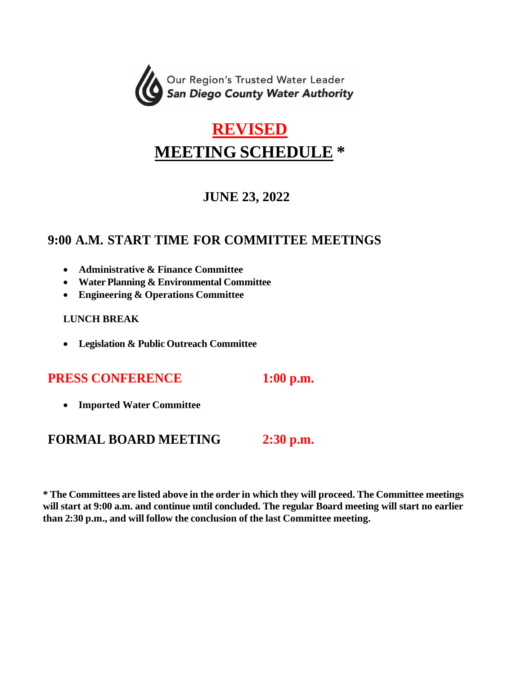

# **REVISED MEETING SCHEDULE \***

# **JUNE 23, 2022**

## **9:00 A.M. START TIME FOR COMMITTEE MEETINGS**

- **Administrative & Finance Committee**
- **Water Planning & Environmental Committee**
- **Engineering & Operations Committee**

#### **LUNCH BREAK**

• **Legislation & Public Outreach Committee**

### **PRESS CONFERENCE 1:00 p.m.**

- 
- **Imported Water Committee**

### **FORMAL BOARD MEETING 2:30 p.m.**

**\* The Committees are listed above in the order in which they will proceed. The Committee meetings will start at 9:00 a.m. and continue until concluded. The regular Board meeting will start no earlier than 2:30 p.m., and will follow the conclusion of the last Committee meeting.**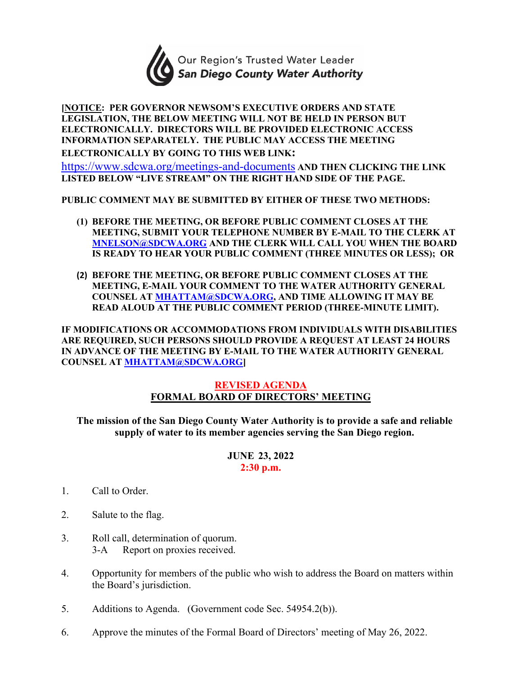

#### **[NOTICE: PER GOVERNOR NEWSOM'S EXECUTIVE ORDERS AND STATE LEGISLATION, THE BELOW MEETING WILL NOT BE HELD IN PERSON BUT ELECTRONICALLY. DIRECTORS WILL BE PROVIDED ELECTRONIC ACCESS INFORMATION SEPARATELY. THE PUBLIC MAY ACCESS THE MEETING ELECTRONICALLY BY GOING TO THIS WEB LINK:**

<https://www.sdcwa.org/meetings-and-documents> **AND THEN CLICKING THE LINK** 

**LISTED BELOW "LIVE STREAM" ON THE RIGHT HAND SIDE OF THE PAGE.** 

**PUBLIC COMMENT MAY BE SUBMITTED BY EITHER OF THESE TWO METHODS:** 

- **(1) BEFORE THE MEETING, OR BEFORE PUBLIC COMMENT CLOSES AT THE MEETING, SUBMIT YOUR TELEPHONE NUMBER BY E-MAIL TO THE CLERK AT [MNELSON@SDCWA.ORG](mailto:MNELSON@SDCWA.ORG) AND THE CLERK WILL CALL YOU WHEN THE BOARD IS READY TO HEAR YOUR PUBLIC COMMENT (THREE MINUTES OR LESS); OR**
- **(2) BEFORE THE MEETING, OR BEFORE PUBLIC COMMENT CLOSES AT THE MEETING, E-MAIL YOUR COMMENT TO THE WATER AUTHORITY GENERAL COUNSEL AT [MHATTAM@SDCWA.ORG,](mailto:MHATTAM@SDCWA.ORG) AND TIME ALLOWING IT MAY BE READ ALOUD AT THE PUBLIC COMMENT PERIOD (THREE-MINUTE LIMIT).**

**IF MODIFICATIONS OR ACCOMMODATIONS FROM INDIVIDUALS WITH DISABILITIES ARE REQUIRED, SUCH PERSONS SHOULD PROVIDE A REQUEST AT LEAST 24 HOURS IN ADVANCE OF THE MEETING BY E-MAIL TO THE WATER AUTHORITY GENERAL COUNSEL AT [MHATTAM@SDCWA.ORG\]](mailto:MHATTAM@SDCWA.ORG)**

#### **REVISED AGENDA FORMAL BOARD OF DIRECTORS' MEETING**

**The mission of the San Diego County Water Authority is to provide a safe and reliable supply of water to its member agencies serving the San Diego region.**

> **JUNE 23, 2022 2:30 p.m.**

- 1. Call to Order.
- 2. Salute to the flag.
- 3. Roll call, determination of quorum. 3-A Report on proxies received.
- 4. Opportunity for members of the public who wish to address the Board on matters within the Board's jurisdiction.
- 5. Additions to Agenda. (Government code Sec. 54954.2(b)).
- 6. Approve the minutes of the Formal Board of Directors' meeting of May 26, 2022.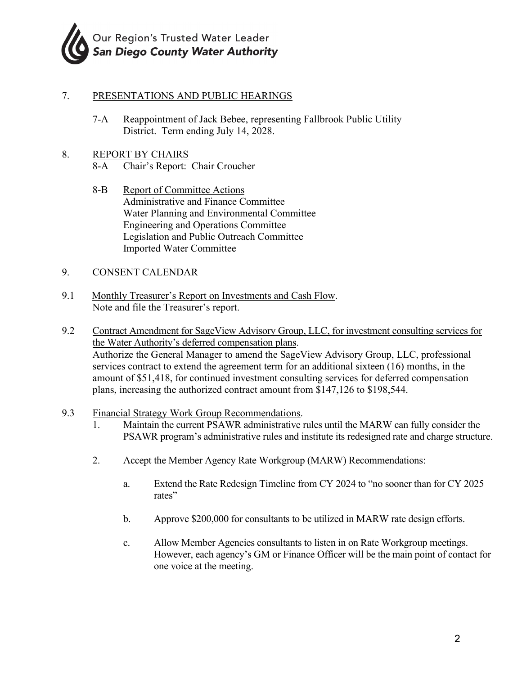

#### 7. PRESENTATIONS AND PUBLIC HEARINGS

7-A Reappointment of Jack Bebee, representing Fallbrook Public Utility District. Term ending July 14, 2028.

#### 8. REPORT BY CHAIRS

- 8-A Chair's Report: Chair Croucher
- 8-B Report of Committee Actions Administrative and Finance Committee Water Planning and Environmental Committee Engineering and Operations Committee Legislation and Public Outreach Committee Imported Water Committee

#### 9. CONSENT CALENDAR

- 9.1 Monthly Treasurer's Report on Investments and Cash Flow. Note and file the Treasurer's report.
- 9.2 Contract Amendment for SageView Advisory Group, LLC, for investment consulting services for the Water Authority's deferred compensation plans. Authorize the General Manager to amend the SageView Advisory Group, LLC, professional services contract to extend the agreement term for an additional sixteen (16) months, in the amount of \$51,418, for continued investment consulting services for deferred compensation plans, increasing the authorized contract amount from \$147,126 to \$198,544.
- 9.3 Financial Strategy Work Group Recommendations.
	- 1. Maintain the current PSAWR administrative rules until the MARW can fully consider the PSAWR program's administrative rules and institute its redesigned rate and charge structure.
	- 2. Accept the Member Agency Rate Workgroup (MARW) Recommendations:
		- a. Extend the Rate Redesign Timeline from CY 2024 to "no sooner than for CY 2025 rates"
		- b. Approve \$200,000 for consultants to be utilized in MARW rate design efforts.
		- c. Allow Member Agencies consultants to listen in on Rate Workgroup meetings. However, each agency's GM or Finance Officer will be the main point of contact for one voice at the meeting.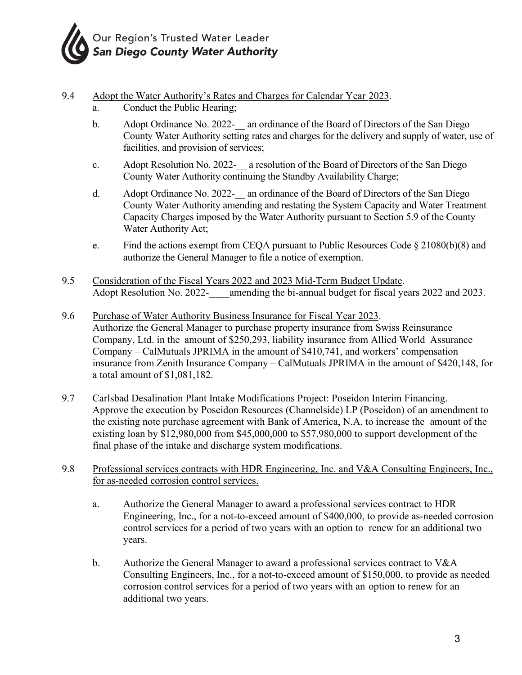

- 9.4 Adopt the Water Authority's Rates and Charges for Calendar Year 2023. a. Conduct the Public Hearing;
	- b. Adopt Ordinance No. 2022- an ordinance of the Board of Directors of the San Diego County Water Authority setting rates and charges for the delivery and supply of water, use of facilities, and provision of services;
	- c. Adopt Resolution No. 2022- a resolution of the Board of Directors of the San Diego County Water Authority continuing the Standby Availability Charge;
	- d. Adopt Ordinance No. 2022- an ordinance of the Board of Directors of the San Diego County Water Authority amending and restating the System Capacity and Water Treatment Capacity Charges imposed by the Water Authority pursuant to Section 5.9 of the County Water Authority Act;
	- e. Find the actions exempt from CEOA pursuant to Public Resources Code  $\S 21080(b)(8)$  and authorize the General Manager to file a notice of exemption.
- 9.5 Consideration of the Fiscal Years 2022 and 2023 Mid-Term Budget Update. Adopt Resolution No. 2022- amending the bi-annual budget for fiscal years 2022 and 2023.
- 9.6 Purchase of Water Authority Business Insurance for Fiscal Year 2023. Authorize the General Manager to purchase property insurance from Swiss Reinsurance Company, Ltd. in the amount of \$250,293, liability insurance from Allied World Assurance Company – CalMutuals JPRIMA in the amount of \$410,741, and workers' compensation insurance from Zenith Insurance Company – CalMutuals JPRIMA in the amount of \$420,148, for a total amount of \$1,081,182.
- 9.7 Carlsbad Desalination Plant Intake Modifications Project: Poseidon Interim Financing. Approve the execution by Poseidon Resources (Channelside) LP (Poseidon) of an amendment to the existing note purchase agreement with Bank of America, N.A. to increase the amount of the existing loan by \$12,980,000 from \$45,000,000 to \$57,980,000 to support development of the final phase of the intake and discharge system modifications.
- 9.8 Professional services contracts with HDR Engineering, Inc. and V&A Consulting Engineers, Inc., for as-needed corrosion control services.
	- a. Authorize the General Manager to award a professional services contract to HDR Engineering, Inc., for a not-to-exceed amount of \$400,000, to provide as-needed corrosion control services for a period of two years with an option to renew for an additional two years.
	- b. Authorize the General Manager to award a professional services contract to V&A Consulting Engineers, Inc., for a not-to-exceed amount of \$150,000, to provide as needed corrosion control services for a period of two years with an option to renew for an additional two years.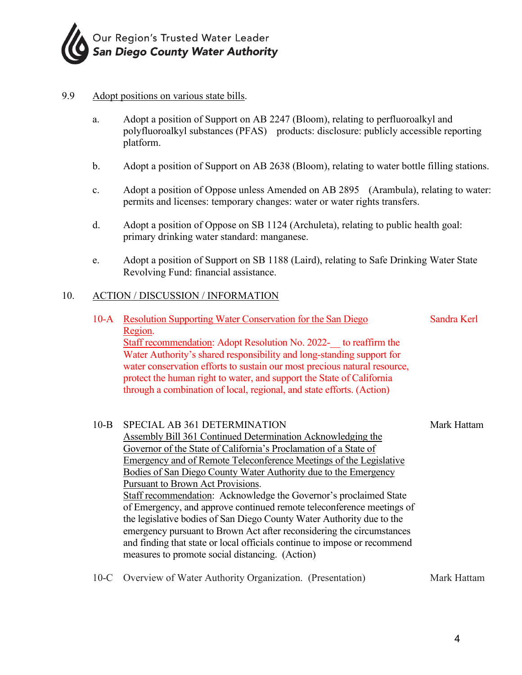

#### 9.9 Adopt positions on various state bills.

- a. Adopt a position of Support on AB 2247 (Bloom), relating to perfluoroalkyl and polyfluoroalkyl substances (PFAS) products: disclosure: publicly accessible reporting platform.
- b. Adopt a position of Support on AB 2638 (Bloom), relating to water bottle filling stations.
- c. Adopt a position of Oppose unless Amended on AB 2895 (Arambula), relating to water: permits and licenses: temporary changes: water or water rights transfers.
- d. Adopt a position of Oppose on SB 1124 (Archuleta), relating to public health goal: primary drinking water standard: manganese.
- e. Adopt a position of Support on SB 1188 (Laird), relating to Safe Drinking Water State Revolving Fund: financial assistance.

#### 10. ACTION / DISCUSSION / INFORMATION

| $10-A$   | <b>Resolution Supporting Water Conservation for the San Diego</b><br>Region.<br><b>Staff recommendation: Adopt Resolution No. 2022-</b> to reaffirm the<br>Water Authority's shared responsibility and long-standing support for<br>water conservation efforts to sustain our most precious natural resource,<br>protect the human right to water, and support the State of California<br>through a combination of local, regional, and state efforts. (Action)                                                                                                                                                                                                                                                                                                                      | Sandra Kerl |
|----------|--------------------------------------------------------------------------------------------------------------------------------------------------------------------------------------------------------------------------------------------------------------------------------------------------------------------------------------------------------------------------------------------------------------------------------------------------------------------------------------------------------------------------------------------------------------------------------------------------------------------------------------------------------------------------------------------------------------------------------------------------------------------------------------|-------------|
| $10 - B$ | SPECIAL AB 361 DETERMINATION<br><b>Assembly Bill 361 Continued Determination Acknowledging the</b><br>Governor of the State of California's Proclamation of a State of<br>Emergency and of Remote Teleconference Meetings of the Legislative<br>Bodies of San Diego County Water Authority due to the Emergency<br>Pursuant to Brown Act Provisions.<br>Staff recommendation: Acknowledge the Governor's proclaimed State<br>of Emergency, and approve continued remote teleconference meetings of<br>the legislative bodies of San Diego County Water Authority due to the<br>emergency pursuant to Brown Act after reconsidering the circumstances<br>and finding that state or local officials continue to impose or recommend<br>measures to promote social distancing. (Action) | Mark Hattam |

10-C Overview of Water Authority Organization. (Presentation) Mark Hattam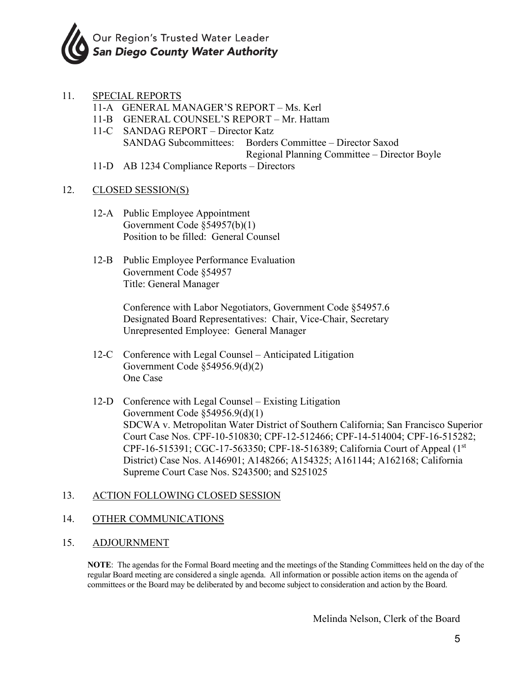

- 11. SPECIAL REPORTS
	- 11-A GENERAL MANAGER'S REPORT Ms. Kerl
	- 11-B GENERAL COUNSEL'S REPORT Mr. Hattam
	- 11-C SANDAG REPORT Director Katz SANDAG Subcommittees: Borders Committee – Director Saxod Regional Planning Committee – Director Boyle
	- 11-D AB 1234 Compliance Reports Directors

#### 12. CLOSED SESSION(S)

- 12-A Public Employee Appointment Government Code §54957(b)(1) Position to be filled: General Counsel
- 12-B Public Employee Performance Evaluation Government Code §54957 Title: General Manager

 Conference with Labor Negotiators, Government Code §54957.6 Designated Board Representatives: Chair, Vice-Chair, Secretary Unrepresented Employee: General Manager

- 12-C Conference with Legal Counsel Anticipated Litigation Government Code §54956.9(d)(2) One Case
- 12-D Conference with Legal Counsel Existing Litigation Government Code §54956.9(d)(1) SDCWA v. Metropolitan Water District of Southern California; San Francisco Superior Court Case Nos. CPF-10-510830; CPF-12-512466; CPF-14-514004; CPF-16-515282; CPF-16-515391; CGC-17-563350; CPF-18-516389; California Court of Appeal (1st District) Case Nos. A146901; A148266; A154325; A161144; A162168; California Supreme Court Case Nos. S243500; and S251025

#### 13. ACTION FOLLOWING CLOSED SESSION

#### 14. OTHER COMMUNICATIONS

#### 15. ADJOURNMENT

**NOTE**: The agendas for the Formal Board meeting and the meetings of the Standing Committees held on the day of the regular Board meeting are considered a single agenda. All information or possible action items on the agenda of committees or the Board may be deliberated by and become subject to consideration and action by the Board.

Melinda Nelson, Clerk of the Board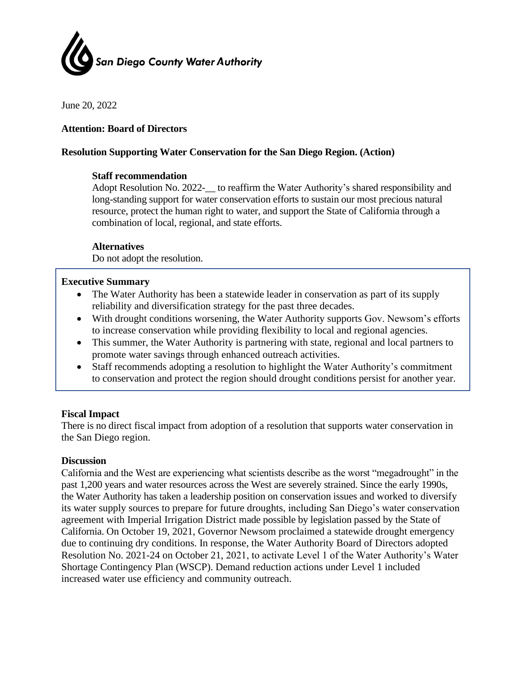

June 20, 2022

#### **Attention: Board of Directors**

#### **Resolution Supporting Water Conservation for the San Diego Region. (Action)**

#### **Staff recommendation**

Adopt Resolution No. 2022-\_\_ to reaffirm the Water Authority's shared responsibility and long-standing support for water conservation efforts to sustain our most precious natural resource, protect the human right to water, and support the State of California through a combination of local, regional, and state efforts.

#### **Alternatives**

Do not adopt the resolution.

#### **Executive Summary**

- The Water Authority has been a statewide leader in conservation as part of its supply reliability and diversification strategy for the past three decades.
- With drought conditions worsening, the Water Authority supports Gov. Newsom's efforts to increase conservation while providing flexibility to local and regional agencies.
- This summer, the Water Authority is partnering with state, regional and local partners to promote water savings through enhanced outreach activities.
- Staff recommends adopting a resolution to highlight the Water Authority's commitment to conservation and protect the region should drought conditions persist for another year.

#### **Fiscal Impact**

There is no direct fiscal impact from adoption of a resolution that supports water conservation in the San Diego region.

#### **Discussion**

California and the West are experiencing what scientists describe as the worst "megadrought" in the past 1,200 years and water resources across the West are severely strained. Since the early 1990s, the Water Authority has taken a leadership position on conservation issues and worked to diversify its water supply sources to prepare for future droughts, including San Diego's water conservation agreement with Imperial Irrigation District made possible by legislation passed by the State of California. On October 19, 2021, Governor Newsom proclaimed a statewide drought emergency due to continuing dry conditions. In response, the Water Authority Board of Directors adopted Resolution No. 2021-24 on October 21, 2021, to activate Level 1 of the Water Authority's Water Shortage Contingency Plan (WSCP). Demand reduction actions under Level 1 included increased water use efficiency and community outreach.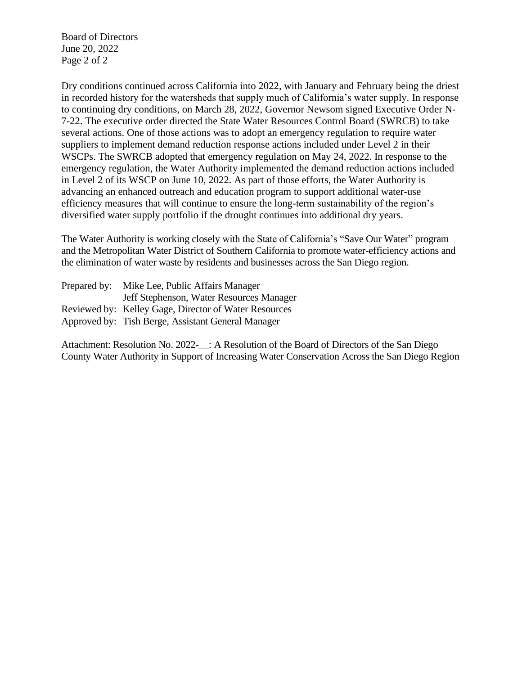Board of Directors June 20, 2022 Page 2 of 2

Dry conditions continued across California into 2022, with January and February being the driest in recorded history for the watersheds that supply much of California's water supply. In response to continuing dry conditions, on March 28, 2022, Governor Newsom signed Executive Order N-7-22. The executive order directed the State Water Resources Control Board (SWRCB) to take several actions. One of those actions was to adopt an emergency regulation to require water suppliers to implement demand reduction response actions included under Level 2 in their WSCPs. The SWRCB adopted that emergency regulation on May 24, 2022. In response to the emergency regulation, the Water Authority implemented the demand reduction actions included in Level 2 of its WSCP on June 10, 2022. As part of those efforts, the Water Authority is advancing an enhanced outreach and education program to support additional water-use efficiency measures that will continue to ensure the long-term sustainability of the region's diversified water supply portfolio if the drought continues into additional dry years.

The Water Authority is working closely with the State of California's "Save Our Water" program and the Metropolitan Water District of Southern California to promote water-efficiency actions and the elimination of water waste by residents and businesses across the San Diego region.

| Prepared by: | Mike Lee, Public Affairs Manager                      |
|--------------|-------------------------------------------------------|
|              | Jeff Stephenson, Water Resources Manager              |
|              | Reviewed by: Kelley Gage, Director of Water Resources |
|              | Approved by: Tish Berge, Assistant General Manager    |

Attachment: Resolution No. 2022-\_\_: A Resolution of the Board of Directors of the San Diego County Water Authority in Support of Increasing Water Conservation Across the San Diego Region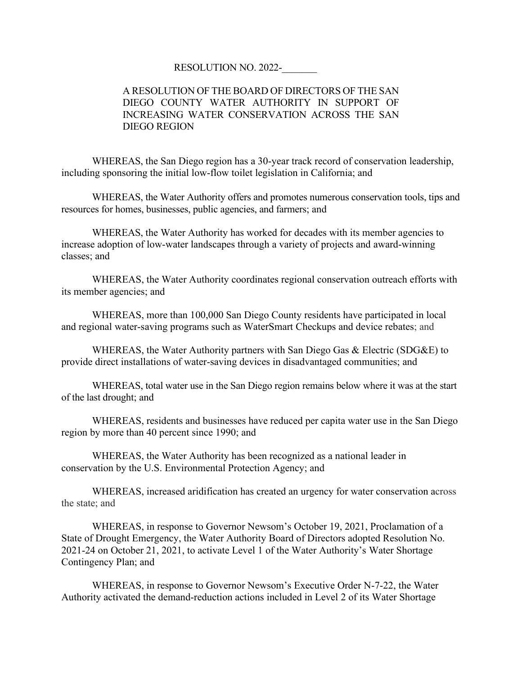#### RESOLUTION NO. 2022-\_\_\_\_\_\_\_

#### A RESOLUTION OF THE BOARD OF DIRECTORS OF THE SAN DIEGO COUNTY WATER AUTHORITY IN SUPPORT OF INCREASING WATER CONSERVATION ACROSS THE SAN DIEGO REGION

WHEREAS, the San Diego region has a 30-year track record of conservation leadership, including sponsoring the initial low-flow toilet legislation in California; and

WHEREAS, the Water Authority offers and promotes numerous conservation tools, tips and resources for homes, businesses, public agencies, and farmers; and

WHEREAS, the Water Authority has worked for decades with its member agencies to increase adoption of low-water landscapes through a variety of projects and award-winning classes; and

WHEREAS, the Water Authority coordinates regional conservation outreach efforts with its member agencies; and

WHEREAS, more than 100,000 San Diego County residents have participated in local and regional water-saving programs such as WaterSmart Checkups and device rebates; and

WHEREAS, the Water Authority partners with San Diego Gas & Electric (SDG&E) to provide direct installations of water-saving devices in disadvantaged communities; and

WHEREAS, total water use in the San Diego region remains below where it was at the start of the last drought; and

WHEREAS, residents and businesses have reduced per capita water use in the San Diego region by more than 40 percent since 1990; and

WHEREAS, the Water Authority has been recognized as a national leader in conservation by the U.S. Environmental Protection Agency; and

WHEREAS, increased aridification has created an urgency for water conservation across the state; and

WHEREAS, in response to Governor Newsom's October 19, 2021, Proclamation of a State of Drought Emergency, the Water Authority Board of Directors adopted Resolution No. 2021-24 on October 21, 2021, to activate Level 1 of the Water Authority's Water Shortage Contingency Plan; and

WHEREAS, in response to Governor Newsom's Executive Order N-7-22, the Water Authority activated the demand-reduction actions included in Level 2 of its Water Shortage